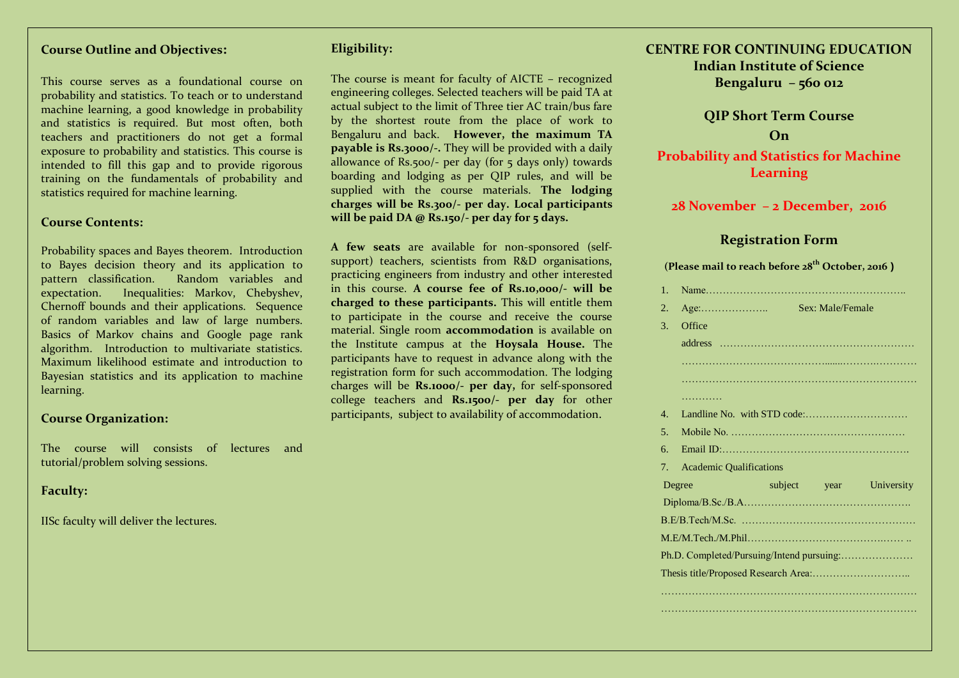#### **Course Outline and Objectives:**

This course serves as a foundational course on probability and statistics. To teach or to understand machine learning, a good knowledge in probability and statistics is required. But most often, both teachers and practitioners do not get a formal exposure to probability and statistics. This course is intended to fill this gap and to provide rigorous training on the fundamentals of probability and statistics required for machine learning.

#### **Course Contents:**

Probability spaces and Bayes theorem. Introduction to Bayes decision theory and its application to pattern classification. Random variables and expectation. Inequalities: Markov, Chebyshev, Chernoff bounds and their applications. Sequence of random variables and law of large numbers. Basics of Markov chains and Google page rank algorithm. Introduction to multivariate statistics. Maximum likelihood estimate and introduction to Bayesian statistics and its application to machine learning.

#### **Course Organization:**

The course will consists of lectures and tutorial/problem solving sessions.

#### **Faculty:**

IISc faculty will deliver the lectures.

#### **Eligibility:**

The course is meant for faculty of AICTE – recognized engineering colleges. Selected teachers will be paid TA at actual subject to the limit of Three tier AC train/bus fare by the shortest route from the place of work to Bengaluru and back. **However, the maximum TA payable is Rs.3000/-.** They will be provided with a daily allowance of Rs.500/- per day (for 5 days only) towards boarding and lodging as per QIP rules, and will be supplied with the course materials. **The lodging charges will be Rs.300/- per day. Local participants will be paid DA @ Rs.150/- per day for 5 days.** 

**A few seats** are available for non-sponsored (selfsupport) teachers, scientists from R&D organisations, practicing engineers from industry and other interested in this course. **A course fee of Rs.10,000/- will be charged to these participants.** This will entitle them to participate in the course and receive the course material. Single room **accommodation** is available on the Institute campus at the **Hoysala House.** The participants have to request in advance along with the registration form for such accommodation. The lodging charges will be **Rs.1000/- per day,** for self-sponsored college teachers and **Rs.1500/- per day** for other participants, subject to availability of accommodation.

### **CENTRE FOR CONTINUING EDUCATION Indian Institute of Science Bengaluru – 560 012**

**QIP Short Term Course On Probability and Statistics for Machine** 

### **Learning**

**28 November – 2 December, 2016**

#### **Registration Form**

**(Please mail to reach before 28th October, 2016 )**

|  | $\mathbf{1}$ .                  |                                      |  |                  |                         |
|--|---------------------------------|--------------------------------------|--|------------------|-------------------------|
|  | 2.                              | $Age: \dots \dots \dots \dots \dots$ |  | Sex: Male/Female |                         |
|  | 3.                              | Office                               |  |                  |                         |
|  |                                 |                                      |  |                  |                         |
|  |                                 |                                      |  |                  |                         |
|  |                                 |                                      |  |                  |                         |
|  |                                 | .                                    |  |                  |                         |
|  | $\mathbf{4}$ .                  |                                      |  |                  |                         |
|  | 5 <sub>1</sub>                  |                                      |  |                  |                         |
|  | б.                              |                                      |  |                  |                         |
|  | $7_{\scriptscriptstyle{\circ}}$ | <b>Academic Qualifications</b>       |  |                  |                         |
|  |                                 | Degree                               |  |                  | subject year University |
|  |                                 |                                      |  |                  |                         |
|  |                                 |                                      |  |                  |                         |
|  |                                 |                                      |  |                  |                         |
|  |                                 |                                      |  |                  |                         |
|  |                                 |                                      |  |                  |                         |
|  |                                 |                                      |  |                  |                         |
|  |                                 |                                      |  |                  |                         |
|  |                                 |                                      |  |                  |                         |